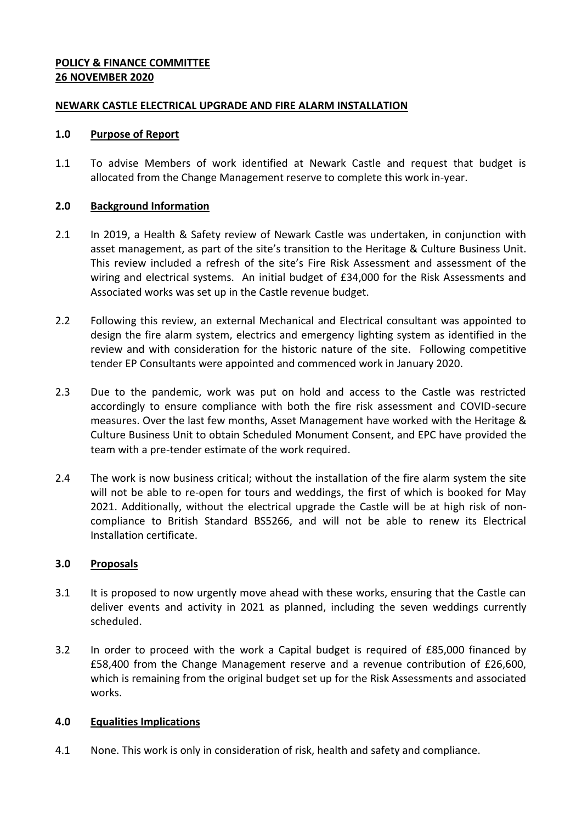## **POLICY & FINANCE COMMITTEE 26 NOVEMBER 2020**

### **NEWARK CASTLE ELECTRICAL UPGRADE AND FIRE ALARM INSTALLATION**

#### **1.0 Purpose of Report**

1.1 To advise Members of work identified at Newark Castle and request that budget is allocated from the Change Management reserve to complete this work in-year.

#### **2.0 Background Information**

- 2.1 In 2019, a Health & Safety review of Newark Castle was undertaken, in conjunction with asset management, as part of the site's transition to the Heritage & Culture Business Unit. This review included a refresh of the site's Fire Risk Assessment and assessment of the wiring and electrical systems. An initial budget of £34,000 for the Risk Assessments and Associated works was set up in the Castle revenue budget.
- 2.2 Following this review, an external Mechanical and Electrical consultant was appointed to design the fire alarm system, electrics and emergency lighting system as identified in the review and with consideration for the historic nature of the site. Following competitive tender EP Consultants were appointed and commenced work in January 2020.
- 2.3 Due to the pandemic, work was put on hold and access to the Castle was restricted accordingly to ensure compliance with both the fire risk assessment and COVID-secure measures. Over the last few months, Asset Management have worked with the Heritage & Culture Business Unit to obtain Scheduled Monument Consent, and EPC have provided the team with a pre-tender estimate of the work required.
- 2.4 The work is now business critical; without the installation of the fire alarm system the site will not be able to re-open for tours and weddings, the first of which is booked for May 2021. Additionally, without the electrical upgrade the Castle will be at high risk of noncompliance to British Standard BS5266, and will not be able to renew its Electrical Installation certificate.

### **3.0 Proposals**

- 3.1 It is proposed to now urgently move ahead with these works, ensuring that the Castle can deliver events and activity in 2021 as planned, including the seven weddings currently scheduled.
- 3.2 In order to proceed with the work a Capital budget is required of £85,000 financed by £58,400 from the Change Management reserve and a revenue contribution of £26,600, which is remaining from the original budget set up for the Risk Assessments and associated works.

### **4.0 Equalities Implications**

4.1 None. This work is only in consideration of risk, health and safety and compliance.